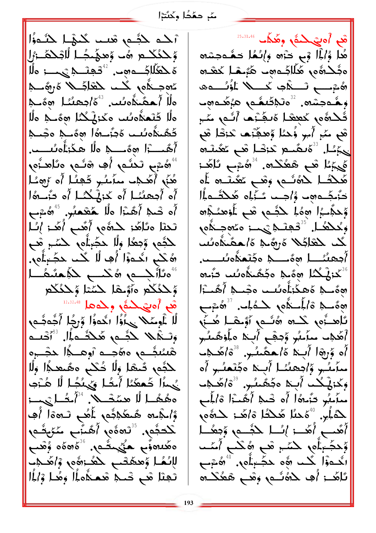مِّن حمَّدُا وكُنُبْزا

آلحم لأجُم هَنت كُنْهَا لِمُتُوَرَّا وَّكْفُكُــم هُڡ وَهِيَّمِجُــا لُّاجْكَمَـٰ زَرَا مَّلاَهُكُلاَجُــــمِينَ مُـــَّـــمِّـــمِّـــمِّـــمِّـــمِّـــمِّـــمِّـــمِّـــمِّـــمِّـــمِّـــ مُعْجِنَةُم لَمُسْكَمَدُ الْمُؤْمَنِينَ مَنْ الْمُؤْمَنِينَ ەلْلْ أَحْكَّىدُّەنُىپ ئ<sup>ى</sup>مُ/جى*مىنْد*ل بەھَىج ەلل كَنْعَذُونُــد مكْزِيْلْـكُمُّا ھِٯَّــج ھال ڭگىڭەئىپ ەَجْنەڭ ھۇسى ەجى أَهُـبْ أَ «هُـبِ هِلْا هِـكَنْفُوسُبْ. ﴿ وَشَيْمِ رَحْتُمِ ﴾ أَبَّ ﴿ وَشَمَّ مِثْلُوبٌ وَشَاءَ مِنْهُمْ ﴾ [الله عنهم من هُنَّى أَهُــــاب معلَّمتُــب كَــمِتُــا أَه رُومـُــا أَه أَجعسُا أَه كَزِيْكُمَا أَه حَزَّسَهُ! تَحْتَلَ مَنَاهُذِ حَدَثَهِ ۖ أَهَّبَ أَهَّدَ إِنَّـا لِحُبُمٍ وَجِعُدًا وَلَا حِجَّبِنَّامٍ لِحَسَّبِرِهِم هُ كُم ائْدَوْا أُفِ لَا كُب حَجَّبْلُونَ ُّەئلاَكب مەتكىپ خېمسَمُسا وَجَدَنُكُمْ وَأَوْجَعَا جَسَيْنَا وَجَدَنُكُمْ قع أەنتىكىڤو بىلەھا 12.32.48 لِمَدْهِ الْجَرْءُ الْمُحَوَّا وَجَمَّدَ الْمُحَمَّدِ الْمَحْسَنِينَ الْمَحْسَنَةِ وَالْمَحْسَنَةِ ا وَلَـٰتُلمَا ۖ لِأَيُّـهِ ۖ هَٰلِكُـُـمِلَّالٍ ۚ ٱتَّرَضَـٰه هْسُبُّـــه وهُجــــه ٱوهــــجُل حجّــــرِه َكَبُّمٍ كُنْقَا وَلَا خُكْمٍ مَعْنَعَجًا وَلَا بَهُمَا الْجُنْرِيَّ الْمُمَا الْمُعَمَّةُ الْسَنْ .<br>ەھُھُــا لُا ھم*َـثَـــا.* <sup>24</sup>ىــُــا ي وَّ}َ جُمْعَهُ مُعَاجَدَهُمْ يَأْهُمْ شَـ20\$ أُفِ لَاحِجُْمِ. ۚ ۚ ثَاءَہٗہ لَامُکُنُّہ مِمُکِنُّے ک لِلِصُلِ وَمِعَصَبِ لِمَعْنَوْهِ وَاهْلِهِ تَّقِتْلُ هُـــ خَـــــمْ هُـعَــٰدُه أَل وَهُــل وَ/ـأَل

هُم أَدْتِيْكُمْ؟ وِهُكُمْتْ فَيْنَ يَسْتَقْبَلْتُ هَٰا وُٱلۡمَا وٕۡ ۖ حَـٰٓٓٓٓ وِ﴾ِلَـٰٰهُا حَـفُـٰءحِسۡهِ ەبُكْتُوم مَكْلَاجُـەق ھُبُنْسَا كَعْدَه هُشِب تَستَلَبَ كَمِسْلاً لَمُؤْسُسِهِ وِهُــهِجِـنْسُهِ ۚ وَتُكِلِّصُهُمْ هُزُهُــهِ مِنْ وَالْمَعْلَمِينَ ثُكْمُومٍ كَعِعْدًا وَلَكِنْزُهُا أَلْتَامٍ مَنْهِ هُم مِّبِ أُمِرٍ وُحِبًا وُهِجَّتِها كَنْظَا هُم لْجَيْمَا. ۚ ۚ ۚ هُ يُمْسِعِ يَجْتَدَا هُبِ يَعْبُسْهِ ەَ يېزىل ھى ھەھىكى سىمكى ئىسى ئىلگىز هَٰلأَسَٰـا لِمَهُنُــهِ وِمْــعٍ مُعُنْسَةٍ لَمُهِ حَنْجُـــدهوما وُاجــما سُــزَٰبِلُو هَٰــلاَشُــوبِلَّا وَجَدَبُهُ أَمْ الْمَشْمَعِ وَهُمْ الْمُعَامَلَةِ مِنْ الْمُعَاجَمَةِ وَجَدَبَتِهِ مِنْ الْمُعَاجَمَة ومُحكمُا فَتَقْفِسْهِ يَجِمْدَ مَعْمَدِهُمْ لَّكَ كَتْعَاجُلًا هُ رَبُّكُمْ هَ/هفَّىٰذُه سُكَ أُجعنُنَـــا وهُـــــهِ مكْتَعَدُّەنُــــب <sup>36</sup>كْبْلْكْلْمْ ھِەَبْ) مېڭىندە ئىسى ئىس ھۇسى ەھڭناۋىلىپ ەجىلى أھُسْرَا بْ مَالِمًا الْمَسْلَمَ وَالْمُسْلَمَةِ مِنْ الْمُسْتِمِنِ تُاهِـنُومِ كَــْدَ هُنُــْمِ أَوُّـِهْـا هُــَمْ، أَهْلِم مأمبُر وِّدِهِّم أَبْلَا هِأَوْهُمبُر أَه وَّرِرْهَا أَبْدَ هَ/همَّىنُـبِ. ۚ هُ/هَــدِ مدَّمنُـبر وَٚاجھنُـُـا أَبْـٰهَ ۚ هَجَنْعنُـبر أَه وِكْزَنْجُكُمَا أَبِيْدَ دَكْتُمِيُّسِ ۚ ۚ ۚ وَٱهۡكَجَات مدَّمِيُّرٍ تَنُمُّدًا أَنْ شَدِّ أَهُمْرَا دَالِمَ ۖ لِكْمَلِر وَ وَحَمَلَ هَلَكُمْ وَأَهَدَ لِحَدَّةً مِ أَهُبَ أَهُـــ: )ِنُــا حَثَّـــى وِّحِعُــا وَّحَجَّۃِأُو كَمَّۃٍ مَّے وَكَّے أَمَّت<br>اگْتُوْا كُب وَّہ حَجَّۃِأُومِ. "وَهُتْہے تُلْهَٰــٰ; أُهِـ لِكُهُنَــٰهِ وَهْـــم هُعُكْــُـبُهِ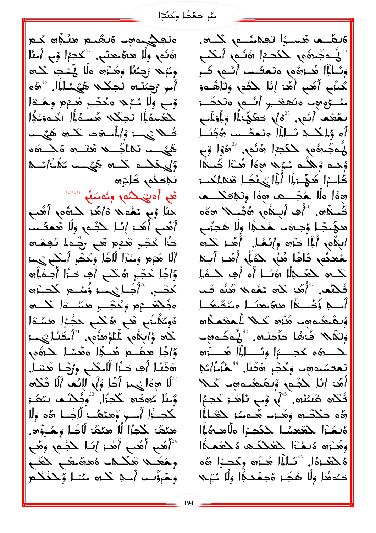مِّن حفَجًا وكُنُثَوْا

ەتبەگىمەھە كىگىم ھئىلەك كىم هُنُّم وِلًا هٰذَهَ حِنَّمٍ.  $^{\text{A}^{\prime\prime}}$  دَجَٰ إِلَيْ مِنَ أَسْلَا وتَبْهِ رَجِئْنًا وِهُـْتَوْهِ وَلَا يُحْمَدُ كَلَـْهِ أُمِر رَّحِنْنَـه نَجكُــلا هَيُــُـالِمَّا. ۚ هُهَ وْ؎ وِلَا سُبَمِي مُحْشَرِ مْحْوَمِ وِهُــْةِ لِكَعْسَفَلَّا تَجِكْلا هُسْفَلًّا اخْدَفِكْلَّا ثَـــلا بْهِـــزة وْالْمِــــوْهِ بْ كَــــوه هَيْـــب تَرْكِيخْطْــه كَــــــرَه هَــَمْــــب كَنْمَـزْ/ئــــمْ تجحكُم حُلْبْرو قع أەلىكىگە وشەمئىگە 19.29 حِبًا مِّي يَعْمَد هَ/هُ: حَدِيُّهِ, أُهُبِ أَهُب أَهُـ: إنُـا لِكَمْـهِ وَلَا هُعَصِّــ حَزُا ۚ كَجَـبِ هَــْمِم هَــبِ ۚ رَجُــٰما نَـجـمَــم<br>ٱلۡا هُـْمِم ومَـُـٰٓا لّاجُـل وِحُجَـبِ ٱمــُـٰـحِ يَـٰبـن وَّاجُا كُثِّمِ هُكْبٍ أُفِ حَـُّا أُحِـهُلُم مُجْبِهِ. ٱلْجُلُّ يُهْدَ وُسْمِعْ كَجِنَّوْهِ ەقٖۡݣَـْـْبُم وِكُتِّــِ مِمَـٰـٰٰٓ ۚ لَــُ م هُوِمَّكُنَّى هُم هُنْكَم حجُبْ! همَّدْا لَكُمْ وَٱبْلَاهِ لِمُلَوَّهُمْ.  $\int_0^{21}$ مَكَنَّا يُحِبَّ وَّاجُا همَّىم هُىجَا ەهُسْا حَدُّەر هُكُمُا أُڢ حَـٰٓا لَّاـتَكَــع وَرُجْـا هُـْسَـاً. َّلُّا هِءُا يَہِ: أَجُا ؤُلُمْ لِاِنُ**مَ** ٱلَّا ثَكْلُو<br>وَّىلًا ءُهوشُه كُلجُال <sup>33</sup>وِجُكْتُمَا بَعْضَ: لْكَجِــزًّا أُسِـبِر وِّهتَكَــز لَّاجُـــل هَء وِلَّا هكَكَرْ كَجِزًا لَّا هككَرْ لَّاجُـا وهُـْرِؤْهِ. أَكْتُبِ أَكْتَبِ أُكَّدَ إِنَّا كُثِّمٍ وَكُبِ $\vec{\lambda}$ ومُمَكْمِدْ تُعَكِّسْهِ هَضْرَمْضُمْ لِمُطَمَّعِ وهَبِؤُب أَسِي كَذِهِ مَيْسًا وَجَحْدُكُمْ وَ

ەتكىم ھىسبرا تېخىشىم كى ھ. أَنْ أَحْدَثُهُ مِنْ كَلَّحِتْهِ الْمُنَّمَى أَمْكُم وِتَـالِمَا هُـزَهُومٍ وتَعتَــب أَنَّـومٍ كَــزِ كُنُّبِ أُهُبِ أُهُدَ إِنَّا ۖ كَجُّمٍ وِلْلَّقَّـٰهِ ۖ مَّــــوّ0ها مَتَّـــمَّـــبِ أَنَّـــم مَنْـــمَّــــز لعُعْمَد أَنُوبٍ وَالْهَالِ حَقَيْهَا وَلَوْلَمِ أَه وَٰلِكُمْ تَالِماً هَدَّـــب هُكَنُــا لِثُمِّضِهُورِ كَكَحِبًا هُنُورٍ. ۚ هُوَّا فِي وَّدَه وَهَنَّه سُبَعَه وَهُ الْهُنَّا خَسْلًا خَاسِرًا هَجُسْنَ الْمُأْلِّينَ الْمُتَصَارِ مُتَحَالِّكَتَ: هِهُا هِلَّا هُجْـــِـهِ هِهُا وَتَذِكْــَــَــهُــ َّضْنَاْهِ. <sup>40</sup>ُفِ أَبْنَاهِم هُجَّبِلا ههُه ههُجْا وِّجِهُ هُكِمَّا وِلًا هُجَّب ابِلْمَامِ أَيْلًا حَنْهِ وَإِنْمُا لِمَنْ أَهْدِ كُمْهِ هَعنَدُم، ثَاجُا هُنَى حَدْبًى أُهَٰذ أَبِ: كَتْ حَكَجِلًا هُنُا أَه أُبْ كَتْمَا ثَلابُم.  $\int_0^{242}$ هُ: كَلاه شَهُم لا هَلاَه كَب أسبط وُحُسندًا هرهُ هنسًا مِمْعُهُا وَّى مَعْدَدەت هُنْزە كَمْلا نْاْھْتْھَنْدُرە وِتَنْمَلا فُزِهُا حَرَّجِتُـ , "وُهُجُـ ءوب لِمَسْدَهُ وَكُدْمَ الْمُسْرَأَالِ هُمْ يَوْرِدُ لْمَعْسُدُوهِ وِكُثْبِ هُكُمُّا.  $\mathbf{a}^{44}$ مُّزُمْزُامُّهِ أَهَٰذِ }ِنُا كَجُمْ وَمِعْكُمُوهِ كَــلا<br>ثَكْلَهِ هَنْتَهِ. \* أَلْمَ وَبِ تُلَهَّـٰ: كَجِبُرا هُه حَكْتُه وَهُـٰ; هُـٰهَـٰ، كَعْـٰلِهُۗا وَسِمَّاْ لِمَعْعَمَا لِكَجِبْرا وَلَاهِدِهُ الْمَ وَهُنْزَهِ ةَسِمْنَزَا لِمَشْكَلِّكِ هَكْتُمْكَا هَ كَعْدَوْا. "تَبَالْمَا هُنْ هُ وَكُحِبُرا هَ ه حَمْدَهُمْ وَلَّا هُجُمْ دَجِعُحَـٰهُۥ وَلَّا عُـٰٓءَ ۖ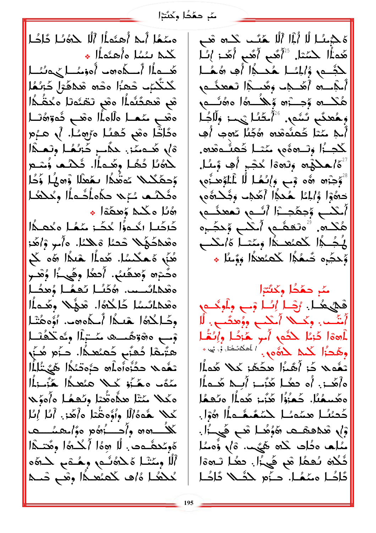مِّن حمَّدًا وكَنَّبْهِ ا

مِمْعُلِ أَحِدٍ أُهِنُومُا أَلَّا حَدَّمُنَا دَّاجُنَا لكم لسُمَّا وأَهتَهاً \* هُــداْل أَـــدُه، أَهْ مُعَامَلاً } كَــدَا الْمَــدَةَ الْمَــدَةَ الْمَــدَةَ الْمَــدَةَ الْمَــد كُنتُكِبَ دْهِزًا هِدْهِ هْدْفُوْلِ خَزِنُهُا هْمِ شَعَثَتُمْاً مِمْ تَعْنُونَا مِكْتُمَاً ەھَـــ مَـُـعـــا ەلاەـاُا ەھَـــى شَەۋەھُنــا ەڭاڭا ەھى كَھلُا ەرُھئا. ﴾ ھـرُم ة/و هُــومَهْ: حكْسر كُرْتُهُـا وتَعــدْا لحدَّمُّا دُهُا وهُـداًا. ثَحْلُـم وُسْـع وَحِكَمْكُلا مُوَتَعُدًا بِعَجْلًا وَْسِيْلًا وَّكُلُّ وثَكْلُم سُرِْيَة حَكَّوَكُمْ وَكَحْفُظْ هُنا مكَّنه وُهِجَةَا \* كَرْكُبْلِ رَبُّدُووُ الْكُحُبْ مُنْهُلِ وَكُنَّفُولُوا ەقىدگۈكلا ئىنىل ۋىلايل. ەڭبو ۋاھْد هُذَهِ هَـمَكْـسُا. هُـماْ هَـمْا هَـهْ كَـمْ ەكْتْرْھ وْھْفَىْبْ. أَنْتْقَا وِفَّى -ّْا وُتْقْتُو ەھْكلىرىسى. ھُكْسُل ئەھُل ۇھكىل ەقىدائىسا خالخۇا. قىۋىلا وھَداًا وِحَـالمُدْهُا ـمْسِدًا أَــكَاهِ مِـ. ٱوْهِ هَٰتْـا وْبٍ وَهُوَهُـــهِ مُتَبَلَّا وِنُوتَكُفُنَــا هَتَّبِهَا دُهَّى دَّعِيْهِ أَلَّا. دِءَم هُنَّى تَعْمَدُ حَدُّوْهُ مَا مَوْمَثْمًا هَيُتْلَمُّا مَدَّمَد وهَــَزَوْ كَمِــلا هِنُعِيدًا هَزَّمِــزَلَٰمَ الْمُ مكلا مئثا مدأوقتا وتعما وأوؤيد كَمِلًا هُدَهُ/لَا وأَوْدِقُمْا هِأَهُدْ. أَمْا إِمْا كلاً وأحسُنُ هُمْ وأسعف على هُوِحْدِهُــهِ فِي اللَّهِ وَالْمُكْلِّمَا وِهُتَــٰهَا ٱلْا وِمَتْا هَـٰدُهُنَّـٰمٍ وِـهُـُمْـِ لَـٰدَهُ٥ مُعْطَرُ هُ/فَ كَعَنُعَـٰهُ! وِقَبِ شَـٰهُ

هَدءُا لِكُمْدَا. أَأْهُبِ أَهُبِ أُهُدِ أَهَدَ إِنْبَا لمثَـــم وُالمِــُــل هُـمـــدُل أُڢ هُــُــل أَجْمِدُه أَهَدِهِ وِهُمِجْلِ تَعْعَدُومِ هُكْدُه وِّجِسْتُهُ وَجَلَابُ الْمُسْمَعُ الْمُسْتَمَرِ وَحُمْعَكُمْ تَسْمَى. ۚ أَمْثَلُمْ يَهْمَ وَلَاجُلْ أَسْمِ سَنْتَلَ خَصَنَّەتْدە ، مُجَبَّلُ مُمجد أُهِ لْكَجِبُرَا وَيَسْوَوُهِ مِنْسًا خُعِثُوهُمْ. لْعَلَيْهِ وِنُحْدًا كُتّْبِ أَفِ وَّسُلًا،  $\zeta^{27}$ أَوْجِبْهِ هُو فِي وِلِمُعَا لَا غَلْوُهِ وَمِنْهِم َدَهُوۡۤا وُٰآٰٰٰٰٰٓٓٓٓا مُحَمَّا اُمَّٰٰٓٓہٗ وَجُحَدَّہُ و أَسْلَبَ وَجِعَجِسْرًا أَنَّسَمٍ تَعْعَدُسَمٍ هُكْدُه. فْقَصْفُ أَمْكُن وُحَجّْبِهِ لْجُــٰجُل كَعْنَعْــٰدُا وِمِّتْــا هَا، كَـٰــِــِ وَجْحَجُوهِ شَعْجُلا كَلْعَنْعَتْمَا وَوَّسًا \* ممّر حمّكُل وكتُترل

هُكِيسًا لَا ٱيْٓا ٱللَّهَسَّـ تَكْتُ هُمْ

فْحَيْحُا. رُضْاً إِسًا وَجِبِ وِلْمِعْصَمِ أَنتَس، وكملا أَسْلَبِ ووُهدًى، لَا ـأهةا دِّمْا لِحَقُّمٍ أَسِ هَٰذِهَا وِإِنْقُا وِهَدُ الْكُمْكُمْ كَثَيْرُهُ وَبُرُوا بِمُعَصَّدَةٍ فِي مَحْمَدَ فَي مَحْمَدَةٍ فَي مَحْمَدَةٍ فَي تَعْمَلا جَز أَهُنُوا مَحَمَّوْ كَلا مَجَالًا هأهَد: أو حعُدا هَذَبِ: أسم هَدهأا وهُمسمُلًا. ضَمَّزُوْا هُذَا هُدَا وَلَحْمَا كُحِنُسًا هِمُوَسًا كُمُعُمُّدَاً وَوَلَ وْ﴾ شَدْهِشَـت شَوُشَـا شَـع فَـهــءُّا. سُلِّفَ وَدَٰاتَ لَاهِ هَيُّبٍ. وَأَبَّ وَّوَسُلَّا ثَكْهَ نُعْمًا هُم فَيُّ}. تَعْلَمْ لَـْ 10\$ دَٰاحُـا ممّمُـا. حـزَم حدَّى دَاحُـا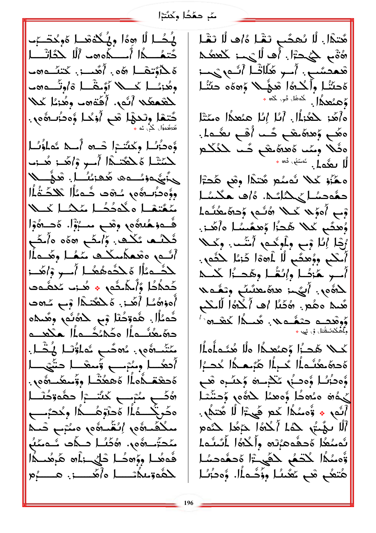مِّن حمَّدًا وكَنَّبْهِ ا

لْمُحَـٰلِ لَٰلِ هِهَٰلَ وِلْكُوْهَـٰلِ هَوِكُحَـٰـٰٓءَٖٮ حٌتمُــــدًا أَــــــدّەمــ أَلَّا حَدَّاتْــــا ەَ كَلُوُّتِمْسا ، ھُە . لِّھُمسز . كَتْتَسَمْع وهُنْكُمْ كَمِيْكُمْ أَوُّمِيْتُمْكُمْ وْأُوتُسْمِيْهِمْ لِمُقْعِظَةِ أَنَّهِ. أَقْتَهِمَا وِقُدْنَا كَمَلًا حٌتهَا. وِتَحِهْلَ هُبِ أُوْحُـا. وُوصُوَٰتِوُّومِ .<br>مَنفَوَٰل حُنْ هُ \* وُودُنُـا وِكْتُــْ أَــْـدَ أَـــدْ ثَوارُنُـا لْمَمْتْدَا هَ لِمَعْنَـٰهَا أُسِي وْاهْدْ هُـٰزَب كَمْنُى وْمُسْمَدْ هُدَيْتُمْ ، هْمْسَنْ مْكَمّْسْمَا ، وِوُّەدْسۇھَ ، سُەھ ھُـمىُّا ۞ كَلاَحُـتُّە مَمْتَمْهِ وَحُدُدُ مَكْهُ كَلَمْ لَا يَكُنَّهُ فُدِهِ هُدِهُ مِ وَهْبِ سَيُرْزِلُ وَصَدِهُوْا ثَلْلُم مُكُلُّفٌ. وَٰإِلَّکُمْ 200 %َلَّکُمْ ألْتوم وتحكمكت ملائم وتحتوا لْحُشُّــه مُمْلًا هَ لِحُثُمْ هُـمُـــا أُســـو وْاهُـــز كَتْݣُطُ وُٱلْكُنْتُمْ \* شُنِتْ نْحْقُّوتْ أُەزەمُـُـا أَهَٰـز. ەَ كَعَّنَـدًا وَبِ مُـدە َّدْمُاْلِ. هُدَوْحُدًا وْمِ ۖ كَمُونُه، وِهُـٰكُمْ دهَ مِعْنُــداُل مَكْفَــْـداُلْ هكعـــه مَتَنْــ \$0\$. مُهكَـــع عُملوُّلْــل كُــتَّــل. أدهُـــا ومُبْنِــــــــ وُمعْنــــا حتَيْمِـــا ەُحعْقَــدُه/ أەھعْتْــا وِتَوْمَعَــدەُهن. هُكِّـــِ مُبْنِـــبِ كَنُنْـــثَالِ حَقَّـهِ وَحُنْـــا ەكرىكشۇ ا ەداۋەسىدا وكتۇسى مَكْكُمْهُمْ إِنْقُمْهُمْ مِنْتِهِمْ كَمَدْ مُحَتَّبِ هُوَه. هُكَنُّا صَـٰكُم شُـُمَمُّهُ فَعمُها ووُهجُها خَايُجِنَاه هَرِهُمِكَا 

مُتمْلَ. لَا تُعجَب تشْا هُ/ف لَا تشْا هُ مُوَ اللَّهِ عَنْ الْمَحْمَدُ وَقَوْمًا مِنْ اتَّصَرْكُمْ وَقَوْمًا مِنْ مَنْ هُعْمَصْبُ . أَسْرَ هُلَّاتْنَا أَنَّـهِ يَجْمَعُ |وَحِنَتُهُا وَأَكْدَوُا هُدَيَّى وَ وَوَوَهِ حَنَّتُهُا<br>|وَهنُعَدُا فَقَا فَقَدَ مُحَدٍّ وَ اللَّهِ عَلَيْهِ وَاللَّهُ وَ هأهَد: حَعُدَلًا. أَمَّا إِمَّا صَحْحَاً مِمَّتْا ەھّے ۆھھَىھّے ئىب آقے بھُـمل. وفْلا وسًا ةهدة هُم تُسَا لِمُكْلِم الُّ العَدْم أَ. شَمَّهُ قَوْمَ هِ هُنُوْ كُلًّا نُهْمُع مُّتْݣَا وِهْمٍ هُدْرًا حَقَّوْصَلَّاحٌ حَامًا ﴾ [هـ مستحدة 15] وْبِ أُهوَٰنا كَمَالًا هُنُما وَحِشَمْتُمَا وُهنَّم كَلا هُدُا وُهمَّسُا هُأَهَـ:. رُجًا إِمَا وَبِ وِإِوْكُمِ أَمَنُتٍ. وَكَمَلاً أَسْلَمِ وِوُهتُمِ لَا ـأَ96 دَّنْا ۖ لأَشَمِ. أسبو هَزْسًا وإِنْغُا وِهَجَزًا كَبِيهِ لمصفَّع، أَيْهَم، هناك من أبره ثمَّك هُده ۚ ههُو . هُكْنُا افْ أَكْلَهُا لَّاسْكُم وُوقَعصہ حتمۂُے بی ، هُمُسلُما کَعْصُرِه ` اُ<br>بِلَعْدَمَقَنَا، بْ ی \* كَتْݣَ هُجَبًّا وُهِنْعَـٰهُا وَلَا هُنْجَاءَاْلَا هَدهَ هُنُداً جُبِياً هُبُعِدًا كُلِّي وُودُنُا وُودِيُ كُلْإِسْنَ وُحَنَّرِهِ هُبِ حَكَّمَة هَدُه هُمْ وَهِ مَعْدًا لِلْهُهِ وَحِتَّمْهَا أَنَّهِ \* وَُّوسُكُمْ كَمِ هَيْ أَلْهُ هُتِكُوبِ. ٱلْلَّا بِهَّنَىٰ لِكُمَّا أَكْدُهَ لِكَبْعَدِ لِكَنَّهِ مِ لُهمُعُل هُحفُهِجْرْتُه وِاُلْحُمُّا لِمُنْهَاء وْْوِيْكَا لْحْتَمْ حْثَى آرَا وْحَقُّوصْبَا هُتمَٰى هَى مُعۡدَلَا وِؤۡشَـٰهِ أَا. وُهۡدَٰٓتُـٰا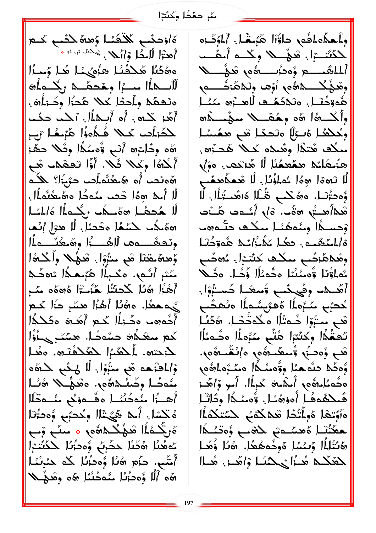مِّرٍ حمَّحًا وكُنُبْزا

ة/وَحِيَّى كَلَّقَتَا وَهِدَهُ حَصَّى كَمْعَ أَهِنْوَا لَلْمِطُ وَأَنَّكَ وَسَعْلًا ثَنَّةً وَوَّضُلُّ هَٰٓ هُمُوْسُلُو هُنَّوْيُهُمْ الْمُحَارِّ وَمِسْرًا لآلكله سبرا وهجفك ربكماه ەتىقكى ولمحتَىل كىلا ھَجُرْل وكُـزِيلُرْف. أهُدْ كُلُو، أَو أَبِيْدِمُلْلِ آيكِ حَكَب للْخَزِلُف كَمِلًا قُلُّهُووا هَزَمَهُا رُبِعِ هُه وِحُابَهِ ٱلْبِ وُّمسُمَّا وِثَٰلًا حَقَّ أَخْذَا وِحُمْلاً فَلاً. أَوَّا تَعْقَمْت شَيْ هَٰەتصە /ُە ھَٰىعُنُّەلُمە حَرَّہُۥُ ۚ ﴿ مَدَّمَنُوں کَ لًا أَمد هِوَّا شَعَب مثَوَجًا وهُمَعُنُومًا. لْا هُجِعًا «ەَسْمُبْ رِجْجُماْلْ دُٰلْمُنْظَ وَهَٰـٰهُـٰ ۖ كَـُنَـٰهُا وَخَفَـٰاً. لَا هَوَا إِنَّـٰهَا وتعڤـــــــمعا لَاهُـــــزُا وهَـعْنُـــــملُّا وَهِدهَ مِعْنَا هُم مِتْبَوْلِ. هُدُلا وأَحْدُهُا مَتْمِ أَئُدٍ. وَكَبِئًا هَٰٓئِمِهَا تَوَحَّط أَهُّزُا هُلَا كَحِنُّا هُزَّتَّا هُوَهُ مَّب يُده انْ مَدْمًا أَهْزًا هَدَا لَحْمَدِهِ مِنْ أَحْدهب وحُـزِمُّا لَحِـمِ أَهُــهِ وَكَـلِّهُا كُم مِعْكُمُ صِنْدَدًا. هِمَّدَ مِكْرُو لمزحتهن ألمعَمْ المعَلاهُتَهِ. وهُا وْالمَعْنَمُهِ شَيْرًا. لَا لَهَمَّى لَهُ وَالْمَدَّةِ مُدَدُّـا وِحُىنُـدْهُوم. وقَدْنُـدْ هُنُـا أهــزُا مُدَدُّسُــا مفْــومُــم مُـــوتَـلا هُ تَكْشَلُ. أَمَكَ هَيُخْلَلُ وِكُحَبُّبٍ وَْءَفَتُرْلَمْ ەرتَكەمُا ھۇككەۋە ، مىن ۋب غَمِّمُا هُكُمَّا حَكْرِبٌ وُمِحَيَّا خَكَتَتْ الْمَحَمَّدُ أَسَّبٍ. حَزَمٍ هُنَا وُءِدَٰٓئَا کُمْ حَبُرِيَّنَا هَٰه ٱلۡلَّا وَ۠وَدٰۡٓئُمۡا مُّوَدُّىٰٓا ۚ هَٰوَ وَقَدَیۡكُمْ ۖ لَا

وِلْمِكَامِلُفُمِ حَلَّةًا هَبُشَا. أَلْمَرْضُو لحَكَتُتُ إِنَّ قَدْئُ لَهُ وَكُنَّ أَنْقُسُبَ أَلْمَلْمُسْسِعٍ وُودُرُسِيوْهِ وَهُشَيْدًا وتَعَوْيُكُــــكَمِّهُم ٱوْهَــَ وِلْكَلِّحَـٰتُــــــهِ هُوَدُنْسَا. وَتَدَكَّفُتُ لَاهِيْرُهِ مِمْسًا وأكسفا فه وهُصْمِه سَهْمُ الله وكلأها ةسرال هتحقا هم همَّسُا سكُك مُتنمَّا وِمُعده حُملًا هُدَّوه. هِ زَحِمَا مَدَ مَعَهُمُ لَا مَدِ دَعِبٍ وَ إِلَ لًا نَحوهَ! جِوَا خُملُوْنُا. لَا شَعِكَاهِمَبِ وُّەدْ:تْل. ەھُكْب شُلَّا ەْشَــۃُمُّا. لَّا هَداً هُـتُو هَ مَّف. 16 أُسُـه هَــرْت وۡحسِـدُا وِمُهۡعُمُـا مِـكُـفَ حَتَّـهِ وَمِ ة/لمَمْعًىـد و حَمَـا مَكْمُرُامَّد هُووَحَسَا وڤَهڤَزَهُب مكُك كَتُنْتِزاً. ءُهڪُب ثَماوُّنَا وُّمنُسُّا مِثْميُّا وَّحُـا. مِثَــٰلا أهَــدَــد وفُــِيحَــــو تُصفَــل كَـــــْزَوْلَ. لُدَّبَ مُـُّرُه الْمَعْهِشُـه الْمَعْصَم هَى مِتْبَوْا خُمتُالِ مِكْمَثُمْدا. هُكَنا لَّحَغُّدًا وِكَنُّبًا هُنَّمٍ مَّزْهِ أَا هَشَمْ ا هَمْ وُوصَيُّ وُسْعَكْتُوهُ وَإِنْقُتُوهُمْ. وَوَكُمْ عِنْهُمْمُا وِوُّومُكُمُّا وَحُكْبُوْهِ وَوَ ەھُەمُلىھُەم أَىكْىغ گېلا. أىر ۋاھَٰ: فَىكِفُوهُا أُوزِرُهُمُا. وُومُكُما وِكَاتْلُ ءَآؤَتهَا هُوِلَٰتُحْا هُدَكُهُمْ ۖ حَمَّتَكُمُاْ هَعَنْنَا هَعْسُمْ لِلْهُبِ وُوَتَسُلُّلُ هَنَّنْالِمَا وِّىنْسُا هُوِشُمْعُكا. هُنَا وُهُـا لِحْقَكُمْ هُـزًّا يَحْبُدُ وَأَهْدِ. هُـال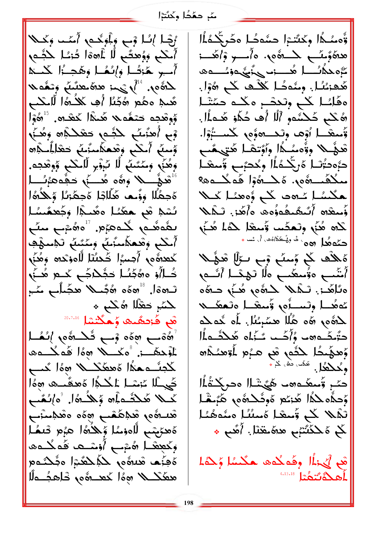مِّن حمَّدًا وكَنَّبْهِ ا

رُجْاً إِسًا وْبِ وِلْمُوكَـٰهِ أَمَّـٰب وِكَـٰلا أَسْلَمِ وِوُهِتُمِ لَا ـأَ30 دُّنُـا ۖ لِأَعْمَلِ أسبو هَوْشُلاً وإِنْهُما وِهُجِبُّا كَمِنْهَ  $\mathcal{A}$ دُّه).  $\int_0^{\infty}$ الله بَعينَ مِنْ مَسْرَبَهُ مِنْ مَسْرَبَهُمْ مَسْرَبَهُمْ مَسْرَبَهُمْ م مَّىمِ وَهُم رُوُّمُلُ أَبِي كَلاَّمُوا لَّاعْكُبِ  $\tilde{\mathbf{q}}$ وَّوِهْجه حَمْعُه $\boldsymbol{\nu}$  هُمَذَا كَعْدَه  $\tilde{\mathbf{q}}$ هُوَ وْمِ أَهْنَنَى لِحَقِّمٍ حَقَلَهُ وَهُنَّى وَّسلَ أَسْلَمِ وِهُمَكَاسَنَكَ حَعْلِلَكُمْ وِهُنَّىٰ وِمُنُنَّبِ لَٰا نُبِوَّىٰ لَامْكُنِ وُوِهْجِهِ.  $\mathcal{L}$ مُحِمُّـــا وِرُهُ مُــــَٰزٍ حَقُومُ ُـــا $\mathcal{L}$ ەْجِعُلَّا وِوُّىم هَٰلَاجْا ەْجِعَْرْنَا وُݣْدَهُا سُمْ هُم حفَّصُا هِ مُحبَّا وِجُعمَّسُا ىقُەھُــە گــەمبِّە. "ەھُـتْئِــى مىب أَسْلَم وِتَعْمَلُمْنُنَى وِسَّيْنَ لَجْمَعِهُمْ كَعِدةُهِ، أَجِسْرًا خُجِسًا لْلُووْكِدِهِ وَهُنَّهِ. َّدَٰٓاٰہُۥ ہ۞جُنُـا حَجَّـٰآجُــہٖ كَــٰم هُــَہُ لىدەۋا, <sup>8</sup>اھەّە ھ*اجُىــلا* ھىجَىلَى م*ىّب* لمسِّبر حَمْلًا هُكُم \* هُم فَرْحَقُمِهِ وَحَكْتَمْا ۚ..... أَهُدْمِ جِهَدٍ وَمِن شَكْلُهُمْ إِنْشَارَ لْغُدِهَـــٰ; ۚ هُكَـــلاً هِهُ أَ هُمكُـــهِ كُجِئْدِمَا أَمْحَكَنْكُمْ وَأَوْمَ كُمْسِمْ خَيِبُلَا مُنسَا لِمُكُمُّا هُمحَفَّــهِ هِهَا كْمِلًا هَٰلِكُمْءِٱمْ وَٰلِلُّهُۚا. ۚ وَٰإِنَّمَٰبَ مْدِيقُومٍ مِّدْمِكْمْسٍ بِهِقَو وَهْدِيشْنِسٍ ەَھرَّىنَى لَادْفِعُا وَجْلَاهُ | ھَزْمِ كَنْفُـا وكعفا هوب أوشم فمكمم هُجَنِّم هُنهُم لِمَكْمِلْعُمْ! وَجُلْتُوم هفكله هوا محملة وأوم للكفك

وْْمِمْكُا وِكْتُبْهِ حِمْمَكْلِ مِكْرِيكُمْلَا هِهُوَّمِنُسِم كَمْسُوْهِ. ۞ أسبو وْاهْسَة مصافح وشخش حفاف المستألم موثة هُدْنُنَا. وِمُوَصًا كُلُّفَ كُلِّ هُوْلِ وفَائِل كُمْ وِتَحْصَرِ وَكُلُّمْ حَمَّتْنَا ۖ هُ كُم كُلّْمُومِ ٱلْلَّهُ وَ كُلُّو هُـومُلًّا. وَّسِعْداً أَوْمِ وِيْحِدُووُو ۚ كَسَدَّوْلَ هَذُلا وِوُّەسُـدًا وِاَوُتِـهْـا هَتِي هُب حزَّەدَّتْل ەُرتُكْەُلُّا وِكْحَرَّبٍ وَّحْفَـل مَكْكُسِيةُوبِ. هَكْشُوْا كُمْكْتُمْعَ هكْسُل سُمِد كُمْ وُهِ مُنْا كَمِلًا ؤُسِعْدِهِ أَنُبِّعُبِيعُووُوهِ وأَهْدِ. تَتَمَلَّلَا لَّكُلُّهُ هُنَّهُ وَتَعَضَّمَتْ وَّمَعْظُلِ لَكُمَا هُنَّهُ \*<br>حَكَمْعُلُمْ لِهُوَ \* فَيَعْقَلُهُ \* إِنَّسَ \* ەْللُك كَمْ وَسْلَعْ وَمِعْ سَوْلَ شَوْيَالًا أَشَّبِ وَقُصِعَنِي وَلَا تَهْتَدَا أَنَّسَهِ هَلَاهُد: سَلَّمَلاً لَحْقُهِ هُنَّهِ حَقَّه بمفط وتسلفه ومفكر وتعف لِهُ مِنْ مَا اللَّهُ مِنْ مِنْكُمْ مِنْ مَدْمِدًا مِنْ مِنْدًا مِنْ مِنْدًا مِنْ مِنْدًا مِنْ دَّمْدُےaی وُأُکُّب سُنُّلُہ هُکِنُّےاْ وَهِجَٰىحًا لِحَقَّى قَبِي هَـرُم لَّوَهِـُـدَّهِ<br>وِحُلَاهُا بِـ <sup>مَمَّــ</sup>ٍ بِـهِ جَرْءِ دَّمْ وَّسطَه، هَيْشَالَ مَعْكُمَّا وَحِدُّه كَذَا هُـٰٓئِم هُوئُـُـدِهُم هُبُـُمْـا لْكُلَّلَا كُلِّ وُّمِيْقَا هُمِلْنَا مِنْمَعْنَا රු රි⊿්ඨාීය අවිශ්වේ. ∫ිඥා → هْمْ أَيْهَٰذَا وِقَّمْ هُدْ هَنْدُمَا وَجْهَا أهجة تُنعُمْا السلطة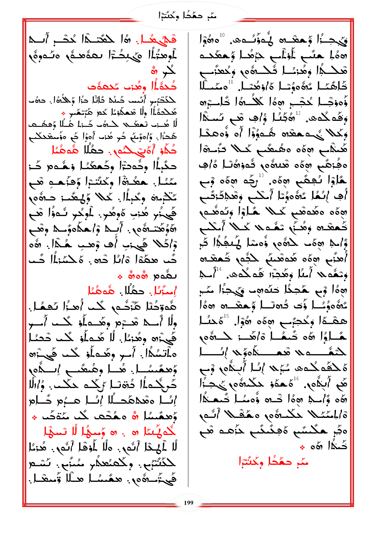مِّي حمَّحُا وكَنُبْزا

قُمْ هُــا. هُ لَهُنَــدُا حُـدَــ أَبــد رؤومنه رڤى مُعارَّة الْتُكْبِرِرَة الْمَتْعَوِفَ  $\stackrel{*}{\sim}$   $\sim$ دُدةَىلًا وِهُنِت مُحمَّةَت للكَتِّبُس أَنَّست كَتْبُمْ ذَاتْلَ دُٰا وَلِللَّٰہُ!. دھُت مَحْدَةُ لَمَ أَولًا مَحْمَوْمًا حُمْ مَّتَحَبُّبُ \* لًا هُــ;ت تَعجَـــــلا حـــهُ بــ حَــ;1 هُــلًا وَقَهُــف هُدَٰا، وَّادوَّىّ دُرِ هُ: أَدوَّا کَے دوَّسڤَدَكَب حُكْمْ أَهْتِي حُكْمٍ. حَقُلًا هُومُنْا حدًىأا وحُددَا وحُمعَنْا وهُـهم حُـ; مَنْـل هعْـقْلْ وِكْتُـْ وَفَوْهـو قْبِ كَتْتِمِيهُ وِكْبِلًا. كَمَلاً وَلِيَعْمَدُ دِيْهِم فَي ُو هُدَبِ هُوهُدٍ. ـ أُوكُدٍ شَـهوُا هَــم هَوُهُتِيهُ٥﴾. أُبِيهِ وَاحِمُهُ٥وَمِيهِ وِهْبِ وْائْلًا فَيِينِ أَهْ وْهْبِ هُـٰدًا. ۞ه حٌب ههَٰۃا ۃُ∕نُا حُم… هَ حُمُّۂِلُّا حُب <u>နှစ်ရာ စုံးကို န</u> إمنُرُبُل. حمُلًا. هُومُبُل هُودُنَا هُزَدُورٍ كُبِ أُهِدُا نَعِمُا. ولًا أسك تحسرَم وهُـــولَمو كُـــد أســو فَيْءَ۞ وهُزْمًا. لَٰا هُـدَلَٰوْ كُـد خْدَـٰا ەلْمْنْىدا. أسو وكْىملُو گىم ئۇھى وَهمُسُلٍ. هُـا وِهُـعُبٍ إِســدُهِ كُرِجُكُماً الْهَوْسَا رَجِّكُمْ حَكْمٍ. وُٱالْلَا إِنَّا وَهُدَهَّحَـلًا إِنَّـا هــرُم حَـام ۇھمُسُل ۋە ممُحْف كُبْ سُقْحُب ﴾ لْحُمْ يُسَمَّلُ ۞ . ۞ وُسَجُّلَ لَّا تَسَجَّلَ لَّا ـٰلَـٰهَـٰذَا أَنَّـٰهِ . هِلَّا ـٰلَٰٓوَٰهَا أَنَّـٰهَ . هُٰذَا لَمْ لْمَكْتَبْهِ. وِكْعَنْعْدُرِ مُنْبُو. تُسْع فَيْ تَسْتَوْهِ بِهِ مَعْسُلِ هِـْلَا وَّسِعْلِ.

فَيْجِبُزْا وَجْعَفْ بِهِ فَيْ وَقُرْسُوهِ. ``ە دە وَا هەُلِ هِنَّى أَوْلَى حَرَّهُا وَهِعَدَه مْكِمُ اوْهُنْكُ فَكُلُّوهُ وِكُعْنَبِ خَلِعَّمَـٰ لَهُ مَوْسًا هَ/وَهُتَـا. "مِمَّىـْلا وُووْجَــا حُجْـــ ووهُا كَلَــٰهُا خَامــۃِوه وَقَدِيْدِهِ.  $\frac{1}{2}$ هُجَبُّا وُإِهِ هَي سُبْدًا وَكُلاً يُحْمَدُوهُ رَشُدُوْوَا أَن وُّءَهَدًا هُنگُابٍ وَهُوَ وَهُنَفَسٍ كَنْمَلاً فَنُسَوْءُ ەفْزْهُم «ەە ھْدەُە ئُەزەھْنا ەُ/ف هَٰاوۡۤا ىُڪِعَىٰ ۞ەَه.  $\stackrel{13}{\check{C}}$ ىڪ ۞ەَه وۡب أَڢ إِنَّـٰهَا ۦُرُّهُوءُۭڷا أُمَكَـٰـٰٓ وَهُدَكَّاتُـٰـٓ وَهُمْ مَعْدَهُم كَمَلاً هُلُوْاً وَتُدَهُّدِهِ ضُعڤته وِهُــَمْ، تمُسمِــه تمــه أَسْلمب وَّإِنَّكُمْ مِهَمَّ خَدَّةً مِنْ مُعْتَمَلٍ فَلَاجُكُمْ لَا تُكْبِرِ أهنَّى وَهُوَ هُوَهْيِيٌ لِلَّهُو خُمْعٌ وَ وَبْعُدِيهِ أَسْلَ وِهُدِبْنَ كَدِيْدِ وَالْأَسِيرِ وَهُمْ أَيْسٍ هُجِدًا حَدَّوهِ فَيُحِزُّا مَنْهِ مُثَّەمُ ُـــا فَت تُـهنَـــا فَهمْـــه هەُا هڤىەًا وٖكجَبُب ۞ە %وٓا. تَأَهَلنَا هَـٰلَوُا هَ٥ خُـمُـٰلَ هَ/هَـٰۂ كَـُهُ٥ مِ لمثمُّــــــــــه مْعـــــــٰكُودٌ لا إِنْــــــــا هُ لِمَقْهِ كُلُمْ مُبْرِيهِ إِسَٰا أَبِنَاْهِمٍ قَهِبٍ اَمَعِ أَبْكُرُ وَهُمْكُمْ وَهُمْ وَاللَّهُ مِنْ أَمِّهِ وَالَّذِينَ هُه وُمُ لِمَ هِهُمْ ذَلِهِ وُهِمُا شُعْمَا ةالمِسْنَمْلا حَكْسَرَةُهِ، هِمْقْمَلا أَنُسَهِ، ەكر ھگىسٌم ەَقِقْتُم جُرْهە شَم جُبْكُمْ هُو \* مَّدٍ حقْحًا وكَتَّةَا